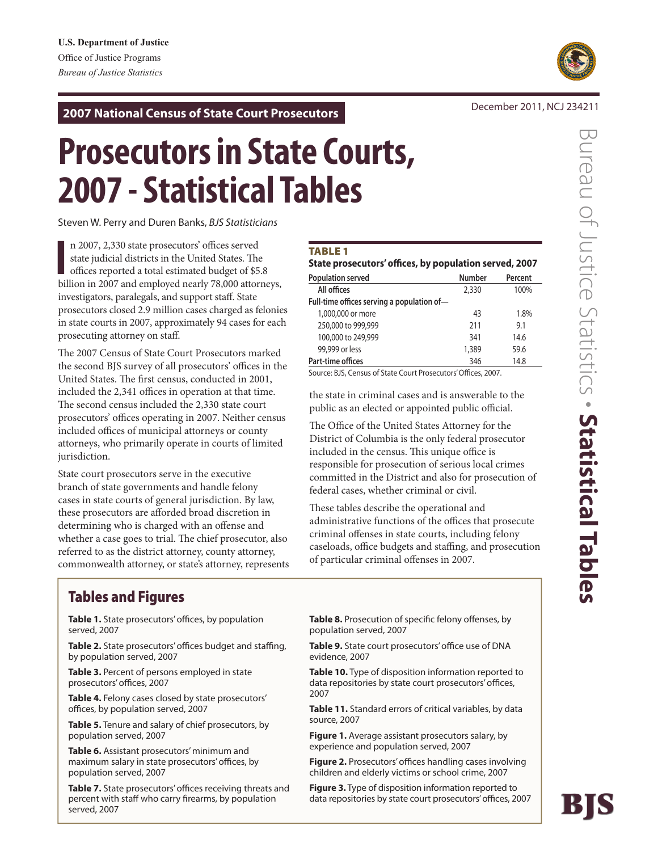December 2011, NCJ 234211 **2007 National Census of State Court Prosecutors**

# **Prosecutors in State Courts, 2007 - Statistical Tables**

Steven W. Perry and Duren Banks, *BJS Statisticians*

Steven W. Perry and Duren Banks, *BJS Statisticians*<br>
n 2007, 2,330 state prosecutors' offices served<br>
state judicial districts in the United States. The<br>
offices reported a total estimated budget of \$5.8<br>
billion in 2007 n 2007, 2,330 state prosecutors' offices served state judicial districts in the United States. The offices reported a total estimated budget of \$5.8 investigators, paralegals, and support staff. State prosecutors closed 2.9 million cases charged as felonies in state courts in 2007, approximately 94 cases for each prosecuting attorney on staff.

The 2007 Census of State Court Prosecutors marked the second BJS survey of all prosecutors' offices in the United States. The first census, conducted in 2001, included the 2,341 offices in operation at that time. The second census included the 2,330 state court prosecutors' offices operating in 2007. Neither census included offices of municipal attorneys or county attorneys, who primarily operate in courts of limited jurisdiction.

State court prosecutors serve in the executive branch of state governments and handle felony cases in state courts of general jurisdiction. By law, these prosecutors are afforded broad discretion in determining who is charged with an offense and whether a case goes to trial. The chief prosecutor, also referred to as the district attorney, county attorney, commonwealth attorney, or state's attorney, represents

## **TABLE 1**

| State prosecutors' offices, by population served, 2007 |               |         |  |  |  |  |  |  |
|--------------------------------------------------------|---------------|---------|--|--|--|--|--|--|
| <b>Population served</b>                               | <b>Number</b> | Percent |  |  |  |  |  |  |
| All offices                                            | 2,330         | 100%    |  |  |  |  |  |  |
| Full-time offices serving a population of-             |               |         |  |  |  |  |  |  |
| 1,000,000 or more                                      | 43            | 1.8%    |  |  |  |  |  |  |
| 250,000 to 999,999                                     | 211           | 9.1     |  |  |  |  |  |  |
| 100,000 to 249,999                                     | 341           | 14.6    |  |  |  |  |  |  |
| 99,999 or less                                         | 1,389         | 59.6    |  |  |  |  |  |  |
| Part-time offices                                      | 346           | 14.8    |  |  |  |  |  |  |

Source: BJS, Census of State Court Prosecutors' Offices, 2007.

the state in criminal cases and is answerable to the public as an elected or appointed public official.

The Office of the United States Attorney for the District of Columbia is the only federal prosecutor included in the census. This unique office is responsible for prosecution of serious local crimes committed in the District and also for prosecution of federal cases, whether criminal or civil.

These tables describe the operational and administrative functions of the offices that prosecute criminal offenses in state courts, including felony caseloads, office budgets and staffing, and prosecution of particular criminal offenses in 2007.

## Tables and Figures

Table 1. State prosecutors' offices, by population served, 2007

Table 2. State prosecutors' offices budget and staffing, by population served, 2007

**Table 3.** Percent of persons employed in state prosecutors' offices, 2007

**Table 4.** Felony cases closed by state prosecutors' offices, by population served, 2007

**Table 5.** Tenure and salary of chief prosecutors, by population served, 2007

**Table 6.** Assistant prosecutors' minimum and maximum salary in state prosecutors' offices, by population served, 2007

Table 7. State prosecutors' offices receiving threats and percent with staff who carry firearms, by population served, 2007

Table 8. Prosecution of specific felony offenses, by population served, 2007

Table 9. State court prosecutors' office use of DNA evidence, 2007

**Table 10.** Type of disposition information reported to data repositories by state court prosecutors' offices, 2007

**Table 11.** Standard errors of critical variables, by data source, 2007

**Figure 1.** Average assistant prosecutors salary, by experience and population served, 2007

Figure 2. Prosecutors' offices handling cases involving children and elderly victims or school crime, 2007

**Figure 3.** Type of disposition information reported to data repositories by state court prosecutors' offices, 2007





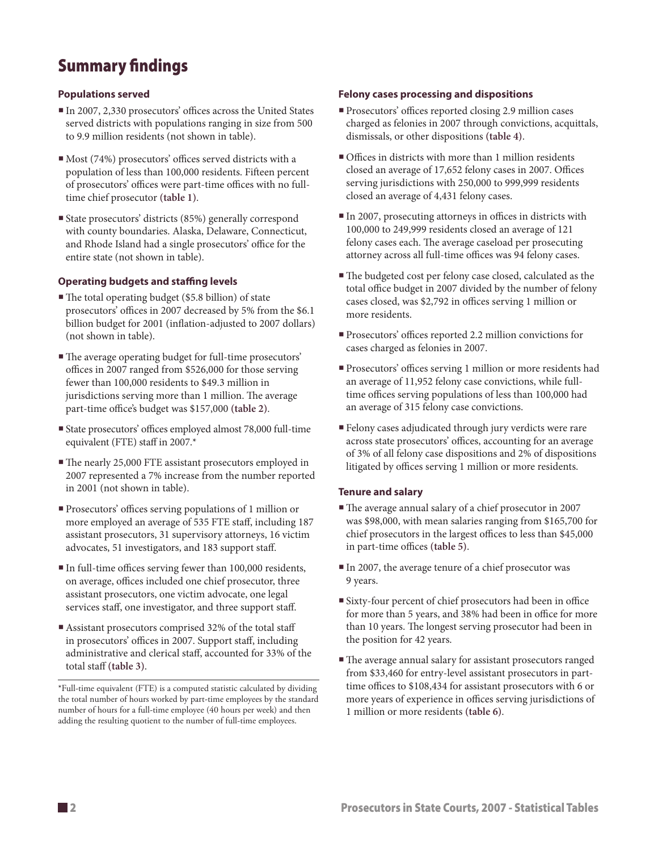# Summary findings

## **Populations served**

- In 2007, 2,330 prosecutors' offices across the United States served districts with populations ranging in size from 500 to 9.9 million residents (not shown in table).
- Most (74%) prosecutors' offices served districts with a population of less than 100,000 residents. Fifteen percent of prosecutors' offices were part-time offices with no fulltime chief prosecutor **(table 1)**.
- State prosecutors' districts (85%) generally correspond with county boundaries. Alaska, Delaware, Connecticut, and Rhode Island had a single prosecutors' office for the entire state (not shown in table).

## **Operating budgets and staffing levels**

- The total operating budget (\$5.8 billion) of state prosecutors' offices in 2007 decreased by 5% from the \$6.1 billion budget for 2001 (inflation-adjusted to 2007 dollars) (not shown in table).
- The average operating budget for full-time prosecutors' offices in 2007 ranged from \$526,000 for those serving fewer than 100,000 residents to \$49.3 million in jurisdictions serving more than 1 million. The average part-time office's budget was \$157,000 **(table 2)**.
- State prosecutors' offices employed almost 78,000 full-time equivalent (FTE) staff in 2007.\*
- The nearly 25,000 FTE assistant prosecutors employed in 2007 represented a 7% increase from the number reported in 2001 (not shown in table).
- Prosecutors' offices serving populations of 1 million or more employed an average of 535 FTE staff, including 187 assistant prosecutors, 31 supervisory attorneys, 16 victim advocates, 51 investigators, and 183 support staff.
- In full-time offices serving fewer than 100,000 residents, on average, offices included one chief prosecutor, three assistant prosecutors, one victim advocate, one legal services staff, one investigator, and three support staff.
- Assistant prosecutors comprised 32% of the total staff in prosecutors' offices in 2007. Support staff, including administrative and clerical staff, accounted for 33% of the total staff **(table 3)**.

## **Felony cases processing and dispositions**

- Prosecutors' offices reported closing 2.9 million cases charged as felonies in 2007 through convictions, acquittals, dismissals, or other dispositions **(table 4)**.
- Offices in districts with more than 1 million residents closed an average of 17,652 felony cases in 2007. Offices serving jurisdictions with 250,000 to 999,999 residents closed an average of 4,431 felony cases.
- In 2007, prosecuting attorneys in offices in districts with 100,000 to 249,999 residents closed an average of 121 felony cases each. The average caseload per prosecuting attorney across all full-time offices was 94 felony cases.
- The budgeted cost per felony case closed, calculated as the total office budget in 2007 divided by the number of felony cases closed, was \$2,792 in offices serving 1 million or more residents.
- Prosecutors' offices reported 2.2 million convictions for cases charged as felonies in 2007.
- Prosecutors' offices serving 1 million or more residents had an average of 11,952 felony case convictions, while fulltime offices serving populations of less than 100,000 had an average of 315 felony case convictions.
- Felony cases adjudicated through jury verdicts were rare across state prosecutors' offices, accounting for an average of 3% of all felony case dispositions and 2% of dispositions litigated by offices serving 1 million or more residents.

## **Tenure and salary**

- The average annual salary of a chief prosecutor in 2007 was \$98,000, with mean salaries ranging from \$165,700 for chief prosecutors in the largest offices to less than \$45,000 in part-time offices **(table 5)**.
- In 2007, the average tenure of a chief prosecutor was 9 years.
- Sixty-four percent of chief prosecutors had been in office for more than 5 years, and 38% had been in office for more than 10 years. The longest serving prosecutor had been in the position for 42 years.
- The average annual salary for assistant prosecutors ranged from \$33,460 for entry-level assistant prosecutors in parttime offices to \$108,434 for assistant prosecutors with 6 or more years of experience in offices serving jurisdictions of 1 million or more residents **(table 6)**.

<sup>\*</sup>Full-time equivalent (FTE) is a computed statistic calculated by dividing the total number of hours worked by part-time employees by the standard number of hours for a full-time employee (40 hours per week) and then adding the resulting quotient to the number of full-time employees.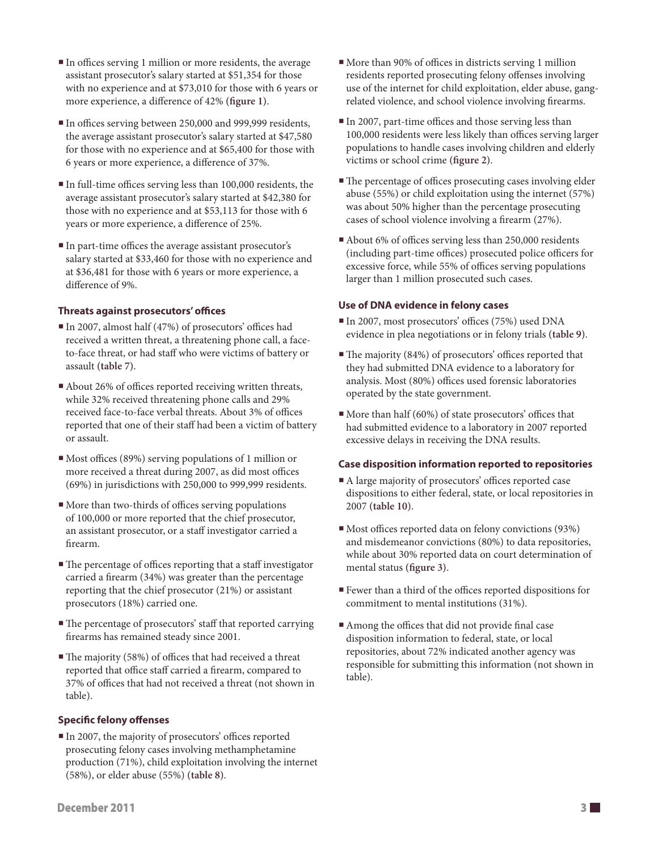- In offices serving 1 million or more residents, the average assistant prosecutor's salary started at \$51,354 for those with no experience and at \$73,010 for those with 6 years or more experience, a difference of 42% **(figure 1)**.
- In offices serving between 250,000 and 999,999 residents, the average assistant prosecutor's salary started at \$47,580 for those with no experience and at \$65,400 for those with 6 years or more experience, a difference of 37%.
- In full-time offices serving less than 100,000 residents, the average assistant prosecutor's salary started at \$42,380 for those with no experience and at \$53,113 for those with 6 years or more experience, a difference of 25%.
- In part-time offices the average assistant prosecutor's salary started at \$33,460 for those with no experience and at \$36,481 for those with 6 years or more experience, a difference of 9%.

## **Threats against prosecutors' offices**

- In 2007, almost half (47%) of prosecutors' offices had received a written threat, a threatening phone call, a faceto-face threat, or had staff who were victims of battery or assault **(table 7)**.
- About 26% of offices reported receiving written threats, while 32% received threatening phone calls and 29% received face-to-face verbal threats. About 3% of offices reported that one of their staff had been a victim of battery or assault.
- Most offices (89%) serving populations of 1 million or more received a threat during 2007, as did most offices (69%) in jurisdictions with 250,000 to 999,999 residents.
- $\blacksquare$  More than two-thirds of offices serving populations of 100,000 or more reported that the chief prosecutor, an assistant prosecutor, or a staff investigator carried a firearm.
- The percentage of offices reporting that a staff investigator carried a firearm (34%) was greater than the percentage reporting that the chief prosecutor (21%) or assistant prosecutors (18%) carried one.
- The percentage of prosecutors' staff that reported carrying firearms has remained steady since 2001.
- The majority (58%) of offices that had received a threat reported that office staff carried a firearm, compared to 37% of offices that had not received a threat (not shown in table).

## **Specific felony offenses**

 In 2007, the majority of prosecutors' offices reported prosecuting felony cases involving methamphetamine production (71%), child exploitation involving the internet (58%), or elder abuse (55%) **(table 8)**.

- More than 90% of offices in districts serving 1 million residents reported prosecuting felony offenses involving use of the internet for child exploitation, elder abuse, gangrelated violence, and school violence involving firearms.
- $\blacksquare$  In 2007, part-time offices and those serving less than 100,000 residents were less likely than offices serving larger populations to handle cases involving children and elderly victims or school crime **(figure 2)**.
- The percentage of offices prosecuting cases involving elder abuse (55%) or child exploitation using the internet (57%) was about 50% higher than the percentage prosecuting cases of school violence involving a firearm (27%).
- About 6% of offices serving less than 250,000 residents (including part-time offices) prosecuted police officers for excessive force, while 55% of offices serving populations larger than 1 million prosecuted such cases.

## **Use of DNA evidence in felony cases**

- In 2007, most prosecutors' offices (75%) used DNA evidence in plea negotiations or in felony trials **(table 9)**.
- The majority (84%) of prosecutors' offices reported that they had submitted DNA evidence to a laboratory for analysis. Most (80%) offices used forensic laboratories operated by the state government.
- $\blacksquare$  More than half (60%) of state prosecutors' offices that had submitted evidence to a laboratory in 2007 reported excessive delays in receiving the DNA results.

## **Case disposition information reported to repositories**

- A large majority of prosecutors' offices reported case dispositions to either federal, state, or local repositories in 2007 **(table 10)**.
- Most offices reported data on felony convictions (93%) and misdemeanor convictions (80%) to data repositories, while about 30% reported data on court determination of mental status **(figure 3)**.
- Fewer than a third of the offices reported dispositions for commitment to mental institutions (31%).
- Among the offices that did not provide final case disposition information to federal, state, or local repositories, about 72% indicated another agency was responsible for submitting this information (not shown in table).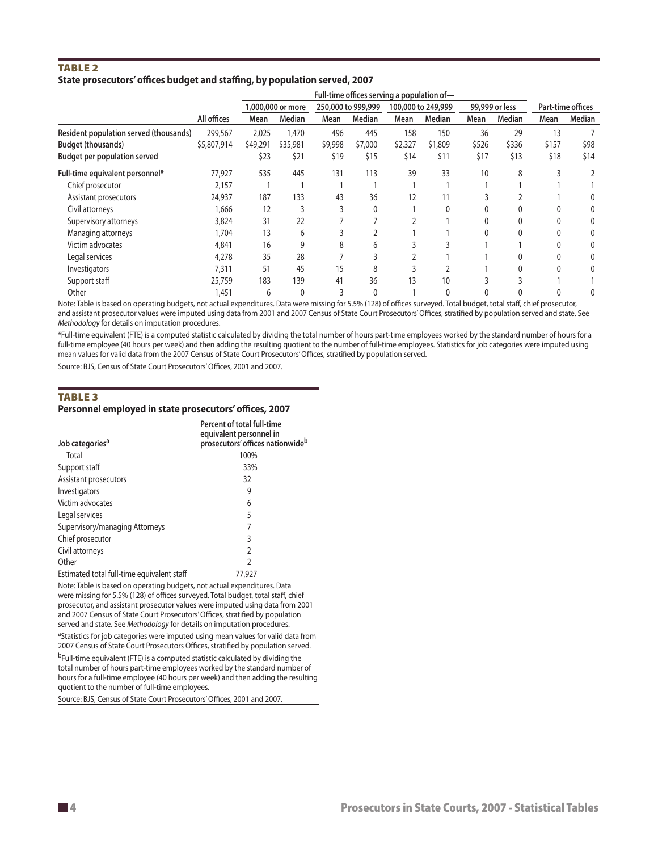## **TABLE 2 State prosecutors' offices budget and staffing, by population served, 2007**

|                                        |             | Full-time offices serving a population of- |                   |                    |         |                    |         |                |        |                   |        |
|----------------------------------------|-------------|--------------------------------------------|-------------------|--------------------|---------|--------------------|---------|----------------|--------|-------------------|--------|
|                                        |             |                                            | 1,000,000 or more | 250,000 to 999,999 |         | 100,000 to 249,999 |         | 99,999 or less |        | Part-time offices |        |
|                                        | All offices | Mean                                       | Median            | Mean               | Median  | Mean               | Median  | Mean           | Median | Mean              | Median |
| Resident population served (thousands) | 299,567     | 2,025                                      | 1,470             | 496                | 445     | 158                | 150     | 36             | 29     | 13                |        |
| <b>Budget (thousands)</b>              | \$5,807,914 | \$49,291                                   | \$35,981          | \$9,998            | \$7,000 | \$2,327            | \$1,809 | \$526          | \$336  | \$157             | \$98   |
| <b>Budget per population served</b>    |             | \$23                                       | \$21              | \$19               | \$15    | \$14               | \$11    | \$17           | \$13   | \$18              | \$14   |
| Full-time equivalent personnel*        | 77,927      | 535                                        | 445               | 131                | 113     | 39                 | 33      | 10             | 8      |                   |        |
| Chief prosecutor                       | 2,157       |                                            |                   |                    |         |                    |         |                |        |                   |        |
| Assistant prosecutors                  | 24,937      | 187                                        | 133               | 43                 | 36      | 12                 | 11      |                |        |                   |        |
| Civil attorneys                        | 1,666       | 12                                         |                   |                    | 0       |                    |         |                |        |                   |        |
| Supervisory attorneys                  | 3,824       | 31                                         | 22                |                    |         |                    |         |                |        |                   |        |
| Managing attorneys                     | 1,704       | 13                                         | 6                 |                    |         |                    |         |                |        |                   |        |
| Victim advocates                       | 4,841       | 16                                         | g                 | 8                  | h       |                    |         |                |        |                   |        |
| Legal services                         | 4,278       | 35                                         | 28                |                    |         |                    |         |                |        |                   |        |
| Investigators                          | 7,311       | 51                                         | 45                | 15                 |         |                    |         |                |        |                   |        |
| Support staff                          | 25,759      | 183                                        | 139               | 41                 | 36      | 13                 | 10      |                |        |                   |        |
| Other                                  | 1,451       | 6                                          | 0                 |                    | 0       |                    | 0       |                |        |                   | 0      |

Note: Table is based on operating budgets, not actual expenditures. Data were missing for 5.5% (128) of offices surveyed. Total budget, total staff, chief prosecutor, and assistant prosecutor values were imputed using data from 2001 and 2007 Census of State Court Prosecutors' Offices, stratified by population served and state. See *Methodology* for details on imputation procedures.

\*Full-time equivalent (FTE) is a computed statistic calculated by dividing the total number of hours part-time employees worked by the standard number of hours for a full-time employee (40 hours per week) and then adding the resulting quotient to the number of full-time employees. Statistics for job categories were imputed using mean values for valid data from the 2007 Census of State Court Prosecutors' Offices, stratified by population served.

Source: BJS, Census of State Court Prosecutors' Offices, 2001 and 2007.

## **TABLE 3 Personnel employed in state prosecutors' offices, 2007**

| Job categories <sup>a</sup>                | Percent of total full-time<br>equivalent personnel in<br>prosecutors' offices nationwide <sup>b</sup> |
|--------------------------------------------|-------------------------------------------------------------------------------------------------------|
| Total                                      | 100%                                                                                                  |
| Support staff                              | 33%                                                                                                   |
| Assistant prosecutors                      | 32                                                                                                    |
| Investigators                              | 9                                                                                                     |
| Victim advocates                           | 6                                                                                                     |
| Legal services                             | 5                                                                                                     |
| Supervisory/managing Attorneys             |                                                                                                       |
| Chief prosecutor                           | 3                                                                                                     |
| Civil attorneys                            | 2                                                                                                     |
| Other                                      | C                                                                                                     |
| Estimated total full-time equivalent staff | 77.927                                                                                                |

Note: Table is based on operating budgets, not actual expenditures. Data were missing for 5.5% (128) of offices surveyed. Total budget, total staff, chief prosecutor, and assistant prosecutor values were imputed using data from 2001 and 2007 Census of State Court Prosecutors' Offices, stratified by population served and state. See *Methodology* for details on imputation procedures.

<sup>a</sup>Statistics for job categories were imputed using mean values for valid data from 2007 Census of State Court Prosecutors Offices, stratified by population served.

bFull-time equivalent (FTE) is a computed statistic calculated by dividing the total number of hours part-time employees worked by the standard number of hours for a full-time employee (40 hours per week) and then adding the resulting quotient to the number of full-time employees.

Source: BJS, Census of State Court Prosecutors' Offices, 2001 and 2007.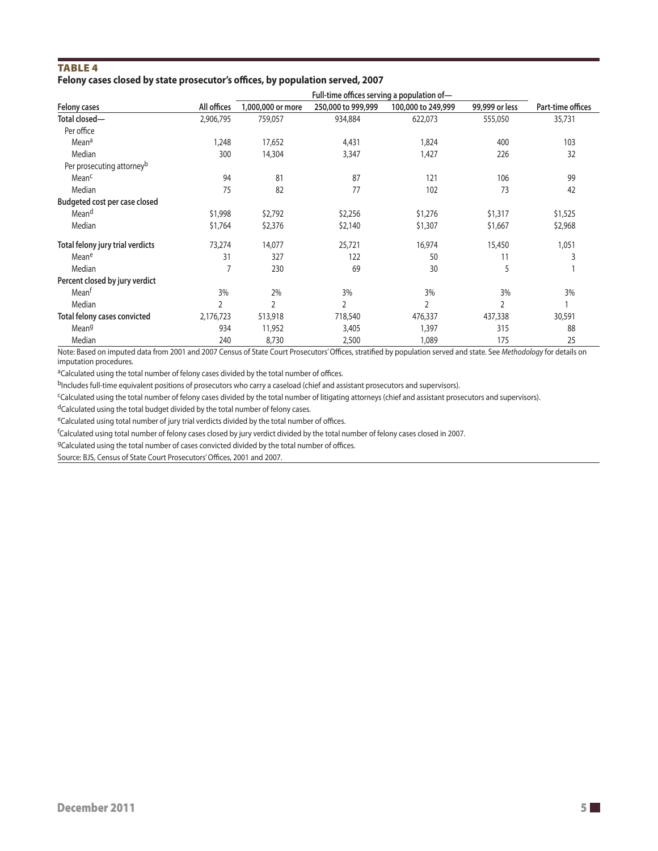## Table 4 **Felony cases closed by state prosecutor's offices, by population served, 2007**

|                                       |             | Full-time offices serving a population of- |                    |                    |                |                   |  |  |  |  |
|---------------------------------------|-------------|--------------------------------------------|--------------------|--------------------|----------------|-------------------|--|--|--|--|
| Felony cases                          | All offices | 1,000,000 or more                          | 250,000 to 999,999 | 100,000 to 249,999 | 99,999 or less | Part-time offices |  |  |  |  |
| Total closed-                         | 2,906,795   | 759,057                                    | 934,884            | 622,073            | 555,050        | 35,731            |  |  |  |  |
| Per office                            |             |                                            |                    |                    |                |                   |  |  |  |  |
| Mean <sup>a</sup>                     | 1,248       | 17,652                                     | 4,431              | 1,824              | 400            | 103               |  |  |  |  |
| Median                                | 300         | 14,304                                     | 3,347              | 1,427              | 226            | 32                |  |  |  |  |
| Per prosecuting attorney <sup>b</sup> |             |                                            |                    |                    |                |                   |  |  |  |  |
| Mean <sup>c</sup>                     | 94          | 81                                         | 87                 | 121                | 106            | 99                |  |  |  |  |
| Median                                | 75          | 82                                         | 77                 | 102                | 73             | 42                |  |  |  |  |
| Budgeted cost per case closed         |             |                                            |                    |                    |                |                   |  |  |  |  |
| Mean <sup>d</sup>                     | \$1,998     | \$2,792                                    | \$2,256            | \$1,276            | \$1,317        | \$1,525           |  |  |  |  |
| Median                                | \$1,764     | \$2,376                                    | \$2,140            | \$1,307            | \$1,667        | \$2,968           |  |  |  |  |
| Total felony jury trial verdicts      | 73,274      | 14,077                                     | 25,721             | 16,974             | 15,450         | 1,051             |  |  |  |  |
| Meane                                 | 31          | 327                                        | 122                | 50                 | 11             | 3                 |  |  |  |  |
| Median                                |             | 230                                        | 69                 | 30                 | 5              |                   |  |  |  |  |
| Percent closed by jury verdict        |             |                                            |                    |                    |                |                   |  |  |  |  |
| Mean <sup>t</sup>                     | 3%          | 2%                                         | 3%                 | 3%                 | 3%             | 3%                |  |  |  |  |
| Median                                | 2           | 2                                          | 2                  | $\overline{2}$     | 2              |                   |  |  |  |  |
| Total felony cases convicted          | 2,176,723   | 513,918                                    | 718,540            | 476,337            | 437,338        | 30,591            |  |  |  |  |
| Mean <sup>g</sup>                     | 934         | 11,952                                     | 3,405              | 1,397              | 315            | 88                |  |  |  |  |
| Median                                | 240         | 8,730                                      | 2,500              | 1,089              | 175            | 25                |  |  |  |  |

Note: Based on imputed data from 2001 and 2007 Census of State Court Prosecutors' Offices, stratified by population served and state. See *Methodology* for details on imputation procedures.

<sup>a</sup>Calculated using the total number of felony cases divided by the total number of offices.

bIncludes full-time equivalent positions of prosecutors who carry a caseload (chief and assistant prosecutors and supervisors).

cCalculated using the total number of felony cases divided by the total number of litigating attorneys (chief and assistant prosecutors and supervisors).

dCalculated using the total budget divided by the total number of felony cases.

eCalculated using total number of jury trial verdicts divided by the total number of offices.

f Calculated using total number of felony cases closed by jury verdict divided by the total number of felony cases closed in 2007.

gCalculated using the total number of cases convicted divided by the total number of offices.

Source: BJS, Census of State Court Prosecutors' Offices, 2001 and 2007.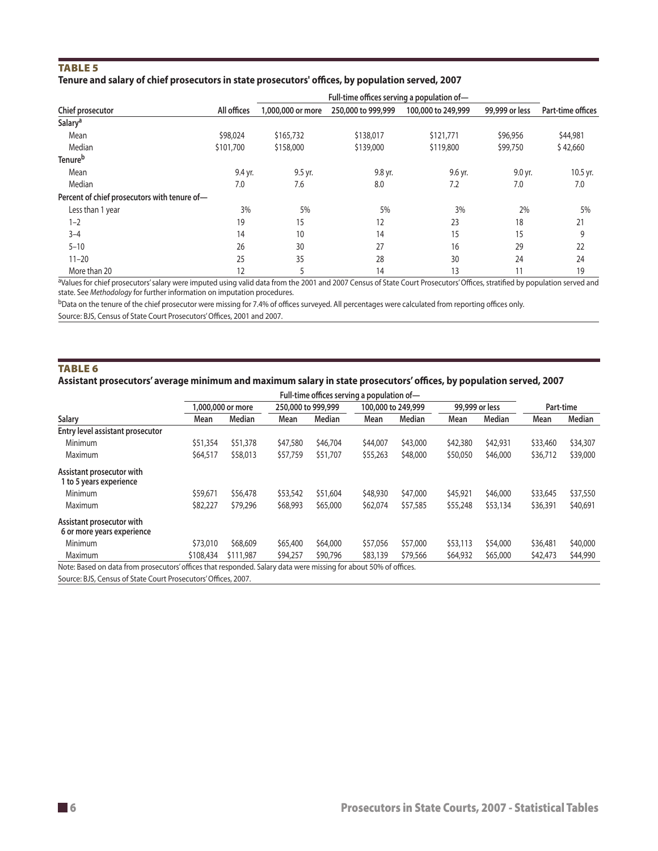## TABLE<sub>5</sub>

## **Tenure and salary of chief prosecutors in state prosecutors' offices, by population served, 2007**

| Chief prosecutor                             | All offices | 1,000,000 or more | 250,000 to 999,999 | 100,000 to 249,999 | 99,999 or less | Part-time offices |  |
|----------------------------------------------|-------------|-------------------|--------------------|--------------------|----------------|-------------------|--|
| Salary <sup>a</sup>                          |             |                   |                    |                    |                |                   |  |
| Mean                                         | \$98,024    | \$165,732         | \$138,017          | \$121,771          | \$96,956       | \$44,981          |  |
| Median                                       | \$101,700   | \$158,000         | \$139,000          | \$119,800          | \$99,750       | \$42,660          |  |
| Tenure <sup>b</sup>                          |             |                   |                    |                    |                |                   |  |
| Mean                                         | 9.4 yr.     | 9.5 yr.           | 9.8 yr.            | 9.6 yr.            | 9.0 yr.        | 10.5 yr.          |  |
| Median                                       | 7.0         | 7.6               | 8.0                | 7.2                | 7.0            | 7.0               |  |
| Percent of chief prosecutors with tenure of- |             |                   |                    |                    |                |                   |  |
| Less than 1 year                             | 3%          | 5%                | 5%                 | 3%                 | 2%             | 5%                |  |
| $1 - 2$                                      | 19          | 15                | 12                 | 23                 | 18             | 21                |  |
| $3 - 4$                                      | 14          | 10                | 14                 | 15                 | 15             | 9                 |  |
| $5 - 10$                                     | 26          | 30                | 27                 | 16                 | 29             | 22                |  |
| $11 - 20$                                    | 25          | 35                | 28                 | 30                 | 24             | 24                |  |
| More than 20                                 | 12          |                   | 14                 | 13                 | 11             | 19                |  |

aValues for chief prosecutors' salary were imputed using valid data from the 2001 and 2007 Census of State Court Prosecutors' Offices, stratified by population served and state. See *Methodology* for further information on imputation procedures.

bData on the tenure of the chief prosecutor were missing for 7.4% of offices surveyed. All percentages were calculated from reporting offices only.

Source: BJS, Census of State Court Prosecutors' Offices, 2001 and 2007.

## TABLE<sub>6</sub>

## **Assistant prosecutors' average minimum and maximum salary in state prosecutors' offices, by population served, 2007**

| Salary                                                                                                           |           | 1,000,000 or more |          | 250,000 to 999,999 |          | 100,000 to 249,999 |          | 99,999 or less |          | Part-time |  |
|------------------------------------------------------------------------------------------------------------------|-----------|-------------------|----------|--------------------|----------|--------------------|----------|----------------|----------|-----------|--|
|                                                                                                                  | Mean      | Median            | Mean     | Median             | Mean     | Median             | Mean     | Median         | Mean     | Median    |  |
| Entry level assistant prosecutor                                                                                 |           |                   |          |                    |          |                    |          |                |          |           |  |
| Minimum                                                                                                          | \$51,354  | \$51,378          | \$47,580 | \$46,704           | \$44,007 | \$43,000           | \$42,380 | \$42,931       | \$33,460 | \$34,307  |  |
| Maximum                                                                                                          | \$64,517  | \$58,013          | \$57,759 | \$51,707           | \$55,263 | \$48,000           | \$50,050 | \$46,000       | \$36,712 | \$39,000  |  |
| Assistant prosecutor with<br>1 to 5 years experience                                                             |           |                   |          |                    |          |                    |          |                |          |           |  |
| Minimum                                                                                                          | \$59,671  | \$56,478          | \$53,542 | \$51,604           | \$48,930 | \$47,000           | \$45,921 | \$46,000       | \$33,645 | \$37,550  |  |
| Maximum                                                                                                          | \$82,227  | \$79,296          | \$68,993 | \$65,000           | \$62,074 | \$57,585           | \$55,248 | \$53,134       | \$36,391 | \$40,691  |  |
| Assistant prosecutor with<br>6 or more years experience                                                          |           |                   |          |                    |          |                    |          |                |          |           |  |
| Minimum                                                                                                          | \$73,010  | \$68,609          | \$65,400 | \$64,000           | \$57,056 | \$57,000           | \$53,113 | \$54,000       | \$36,481 | \$40,000  |  |
| Maximum                                                                                                          | \$108,434 | \$111,987         | \$94,257 | \$90,796           | \$83,139 | \$79,566           | \$64,932 | \$65,000       | \$42,473 | \$44,990  |  |
| Note: Based on data from prosecutors' offices that responded. Salary data were missing for about 50% of offices. |           |                   |          |                    |          |                    |          |                |          |           |  |

Source: BJS, Census of State Court Prosecutors' Offices, 2007.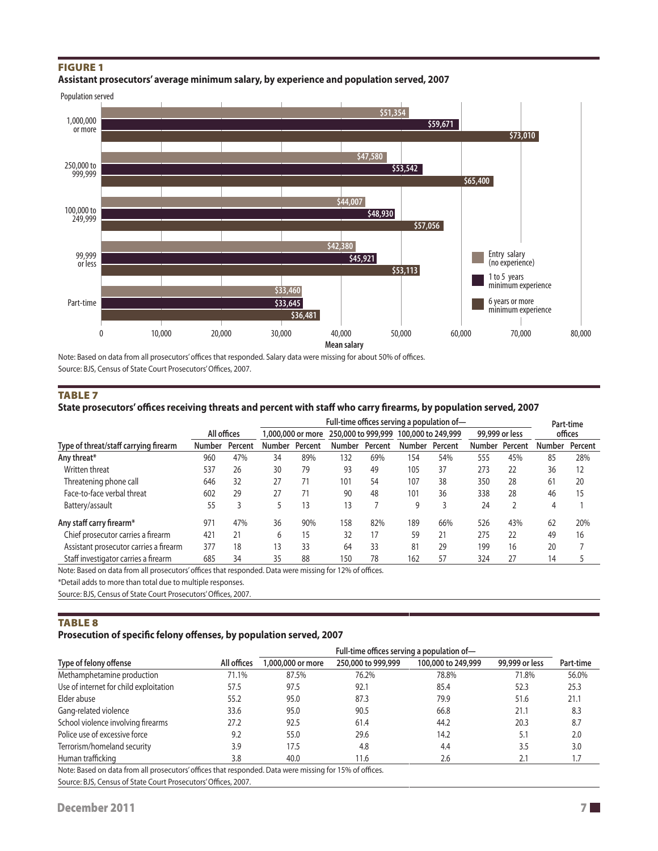## **FIGURE 1**





Note: Based on data from all prosecutors' offices that responded. Salary data were missing for about 50% of offices. Source: BJS, Census of State Court Prosecutors' Offices, 2007.

### **TABLE 7**

## **State prosecutors' offices receiving threats and percent with staff who carry firearms, by population served, 2007**

|                                        |               |         | Full-time offices serving a population of- |                   |               |                    |               |                    |               |                | Part-time     |         |  |
|----------------------------------------|---------------|---------|--------------------------------------------|-------------------|---------------|--------------------|---------------|--------------------|---------------|----------------|---------------|---------|--|
|                                        | All offices   |         |                                            | 1,000,000 or more |               | 250,000 to 999,999 |               | 100,000 to 249,999 |               | 99,999 or less |               | offices |  |
| Type of threat/staff carrying firearm  | <b>Number</b> | Percent | Number                                     | Percent           | <b>Number</b> | Percent            | <b>Number</b> | Percent            | <b>Number</b> | Percent        | <b>Number</b> | Percent |  |
| Any threat*                            | 960           | 47%     | 34                                         | 89%               | 132           | 69%                | 54            | 54%                | 555           | 45%            | 85            | 28%     |  |
| Written threat                         | 537           | 26      | 30                                         | 79                | 93            | 49                 | 105           | 37                 | 273           | 22             | 36            | 12      |  |
| Threatening phone call                 | 646           | 32      | 27                                         | 71                | 101           | 54                 | 107           | 38                 | 350           | 28             | 61            | 20      |  |
| Face-to-face verbal threat             | 602           | 29      | 27                                         | 71                | 90            | 48                 | 101           | 36                 | 338           | 28             | 46            | 15      |  |
| Battery/assault                        | 55            |         | 5                                          | 13                | 13            |                    | 9             |                    | 24            |                | 4             |         |  |
| Any staff carry firearm*               | 971           | 47%     | 36                                         | 90%               | 158           | 82%                | 189           | 66%                | 526           | 43%            | 62            | 20%     |  |
| Chief prosecutor carries a firearm     | 421           | 21      | 6                                          | 15                | 32            | 17                 | 59            | 21                 | 275           | 22             | 49            | 16      |  |
| Assistant prosecutor carries a firearm | 377           | 18      | 13                                         | 33                | 64            | 33                 | 81            | 29                 | 199           | 16             | 20            |         |  |
| Staff investigator carries a firearm   | 685           | 34      | 35                                         | 88                | 150           | 78                 | 162           | 57                 | 324           | 27             | 14            |         |  |

Note: Based on data from all prosecutors' offices that responded. Data were missing for 12% of offices.

\*Detail adds to more than total due to multiple responses.

Source: BJS, Census of State Court Prosecutors' Offices, 2007.

## **TABLE 8**

## **Prosecution of specific felony offenses, by population served, 2007**

|                                                                                                         | Full-time offices serving a population of- |                   |                    |                    |                |           |  |  |  |
|---------------------------------------------------------------------------------------------------------|--------------------------------------------|-------------------|--------------------|--------------------|----------------|-----------|--|--|--|
| Type of felony offense                                                                                  | All offices                                | 1,000,000 or more | 250,000 to 999,999 | 100,000 to 249,999 | 99,999 or less | Part-time |  |  |  |
| Methamphetamine production                                                                              | 71.1%                                      | 87.5%             | 76.2%              | 78.8%              | 71.8%          | 56.0%     |  |  |  |
| Use of internet for child exploitation                                                                  | 57.5                                       | 97.5              | 92.1               | 85.4               | 52.3           | 25.3      |  |  |  |
| Elder abuse                                                                                             | 55.2                                       | 95.0              | 87.3               | 79.9               | 51.6           | 21.1      |  |  |  |
| Gang-related violence                                                                                   | 33.6                                       | 95.0              | 90.5               | 66.8               | 21.1           | 8.3       |  |  |  |
| School violence involving firearms                                                                      | 27.2                                       | 92.5              | 61.4               | 44.2               | 20.3           | 8.7       |  |  |  |
| Police use of excessive force                                                                           | 9.2                                        | 55.0              | 29.6               | 14.2               | 5.1            | 2.0       |  |  |  |
| Terrorism/homeland security                                                                             | 3.9                                        | 17.5              | 4.8                | 4.4                | 3.5            | 3.0       |  |  |  |
| Human trafficking                                                                                       | 3.8                                        | 40.0              | 11.6               | 2.6                | 2.1            | 1.7       |  |  |  |
| Note: Read on data from all processitors' offices that responded. Data were missing for 150% of offices |                                            |                   |                    |                    |                |           |  |  |  |

Note: Based on data from all prosecutors' offices that responded. Data were missing for 15% of offices.

Source: BJS, Census of State Court Prosecutors' Offices, 2007.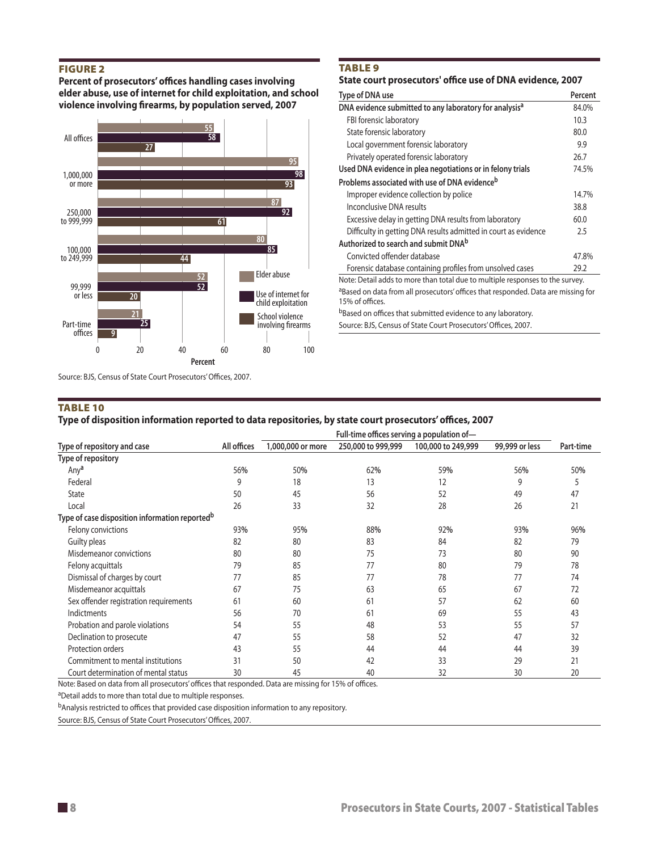## Figure 2

**Percent of prosecutors' offices handling cases involving elder abuse, use of internet for child exploitation, and school violence involving firearms, by population served, 2007**



Source: BJS, Census of State Court Prosecutors' Offices, 2007.

#### Table 10

#### **Type of disposition information reported to data repositories, by state court prosecutors' offices, 2007**

|                                                            | Full-time offices serving a population of- |                   |                    |                    |                |           |  |  |  |
|------------------------------------------------------------|--------------------------------------------|-------------------|--------------------|--------------------|----------------|-----------|--|--|--|
| Type of repository and case                                | All offices                                | 1,000,000 or more | 250,000 to 999,999 | 100,000 to 249,999 | 99,999 or less | Part-time |  |  |  |
| Type of repository                                         |                                            |                   |                    |                    |                |           |  |  |  |
| Any <sup>a</sup>                                           | 56%                                        | 50%               | 62%                | 59%                | 56%            | 50%       |  |  |  |
| Federal                                                    | 9                                          | 18                | 13                 | 12                 | 9              |           |  |  |  |
| State                                                      | 50                                         | 45                | 56                 | 52                 | 49             | 47        |  |  |  |
| Local                                                      | 26                                         | 33                | 32                 | 28                 | 26             | 21        |  |  |  |
| Type of case disposition information reported <sup>b</sup> |                                            |                   |                    |                    |                |           |  |  |  |
| Felony convictions                                         | 93%                                        | 95%               | 88%                | 92%                | 93%            | 96%       |  |  |  |
| Guilty pleas                                               | 82                                         | 80                | 83                 | 84                 | 82             | 79        |  |  |  |
| Misdemeanor convictions                                    | 80                                         | 80                | 75                 | 73                 | 80             | 90        |  |  |  |
| Felony acquittals                                          | 79                                         | 85                | 77                 | 80                 | 79             | 78        |  |  |  |
| Dismissal of charges by court                              | 77                                         | 85                | 77                 | 78                 | 77             | 74        |  |  |  |
| Misdemeanor acquittals                                     | 67                                         | 75                | 63                 | 65                 | 67             | 72        |  |  |  |
| Sex offender registration requirements                     | 61                                         | 60                | 61                 | 57                 | 62             | 60        |  |  |  |
| Indictments                                                | 56                                         | 70                | 61                 | 69                 | 55             | 43        |  |  |  |
| Probation and parole violations                            | 54                                         | 55                | 48                 | 53                 | 55             | 57        |  |  |  |
| Declination to prosecute                                   | 47                                         | 55                | 58                 | 52                 | 47             | 32        |  |  |  |
| Protection orders                                          | 43                                         | 55                | 44                 | 44                 | 44             | 39        |  |  |  |
| Commitment to mental institutions                          | 31                                         | 50                | 42                 | 33                 | 29             | 21        |  |  |  |
| Court determination of mental status                       | 30                                         | 45                | 40                 | 32                 | 30             | 20        |  |  |  |

Note: Based on data from all prosecutors' offices that responded. Data are missing for 15% of offices.

aDetail adds to more than total due to multiple responses.

bAnalysis restricted to offices that provided case disposition information to any repository.

Source: BJS, Census of State Court Prosecutors' Offices, 2007.

#### **TABLE 9**

#### **State court prosecutors' office use of DNA evidence, 2007**

| Type of DNA use                                                                                      | Percent |
|------------------------------------------------------------------------------------------------------|---------|
| DNA evidence submitted to any laboratory for analysis <sup>a</sup>                                   | 84.0%   |
| FBI forensic laboratory                                                                              | 10.3    |
| State forensic laboratory                                                                            | 80.0    |
| Local government forensic laboratory                                                                 | 9.9     |
| Privately operated forensic laboratory                                                               | 26.7    |
| Used DNA evidence in plea negotiations or in felony trials                                           | 74.5%   |
| Problems associated with use of DNA evidence <sup>b</sup>                                            |         |
| Improper evidence collection by police                                                               | 14.7%   |
| Inconclusive DNA results                                                                             | 38.8    |
| Excessive delay in getting DNA results from laboratory                                               | 60.0    |
| Difficulty in getting DNA results admitted in court as evidence                                      | 2.5     |
| Authorized to search and submit DNA <sup>b</sup>                                                     |         |
| Convicted offender database                                                                          | 47.8%   |
| Forensic database containing profiles from unsolved cases                                            | 29.2    |
| Note: Detail adds to more than total due to multiple responses to the survey.                        |         |
| aBased on data from all prosecutors' offices that responded. Data are missing for<br>15% of offices. |         |
| <sup>b</sup> Based on offices that submitted evidence to any laboratory.                             |         |

Source: BJS, Census of State Court Prosecutors' Offices, 2007.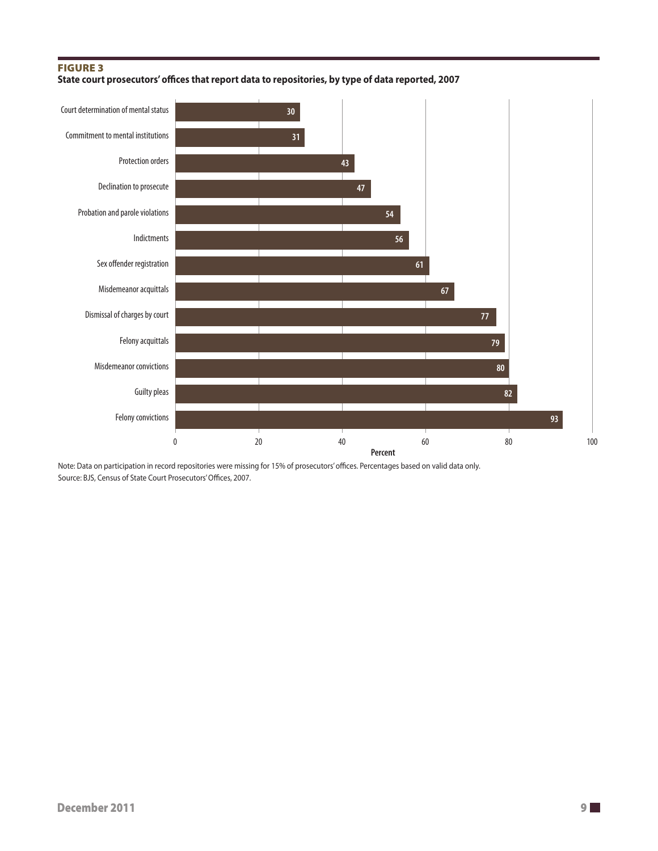## Figure 3

**State court prosecutors' offices that report data to repositories, by type of data reported, 2007**



Note: Data on participation in record repositories were missing for 15% of prosecutors' offices. Percentages based on valid data only. Source: BJS, Census of State Court Prosecutors' Offices, 2007.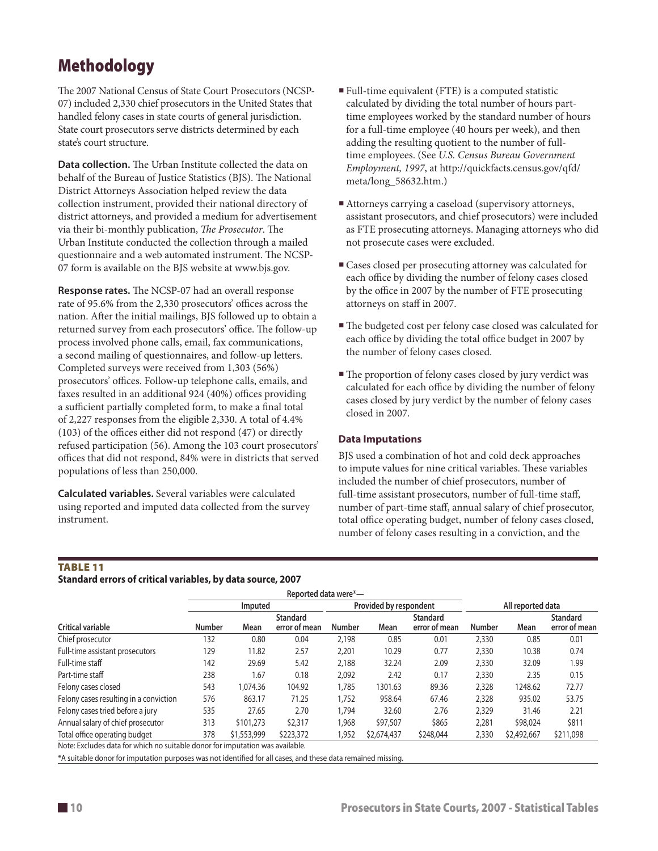# Methodology

The 2007 National Census of State Court Prosecutors (NCSP-07) included 2,330 chief prosecutors in the United States that handled felony cases in state courts of general jurisdiction. State court prosecutors serve districts determined by each state's court structure.

**Data collection.** The Urban Institute collected the data on behalf of the Bureau of Justice Statistics (BJS). The National District Attorneys Association helped review the data collection instrument, provided their national directory of district attorneys, and provided a medium for advertisement via their bi-monthly publication, *The Prosecutor*. The Urban Institute conducted the collection through a mailed questionnaire and a web automated instrument. The NCSP-07 form is available on the BJS website at www.bjs.gov.

**Response rates.** The NCSP-07 had an overall response rate of 95.6% from the 2,330 prosecutors' offices across the nation. After the initial mailings, BJS followed up to obtain a returned survey from each prosecutors' office. The follow-up process involved phone calls, email, fax communications, a second mailing of questionnaires, and follow-up letters. Completed surveys were received from 1,303 (56%) prosecutors' offices. Follow-up telephone calls, emails, and faxes resulted in an additional 924 (40%) offices providing a sufficient partially completed form, to make a final total of 2,227 responses from the eligible 2,330. A total of 4.4% (103) of the offices either did not respond (47) or directly refused participation (56). Among the 103 court prosecutors' offices that did not respond, 84% were in districts that served populations of less than 250,000.

**Calculated variables.** Several variables were calculated using reported and imputed data collected from the survey instrument.

- Full-time equivalent (FTE) is a computed statistic calculated by dividing the total number of hours parttime employees worked by the standard number of hours for a full-time employee (40 hours per week), and then adding the resulting quotient to the number of fulltime employees. (See *U.S. Census Bureau Government Employment, 1997*, at http://quickfacts.census.gov/qfd/ meta/long\_58632.htm.)
- Attorneys carrying a caseload (supervisory attorneys, assistant prosecutors, and chief prosecutors) were included as FTE prosecuting attorneys. Managing attorneys who did not prosecute cases were excluded.
- Cases closed per prosecuting attorney was calculated for each office by dividing the number of felony cases closed by the office in 2007 by the number of FTE prosecuting attorneys on staff in 2007.
- The budgeted cost per felony case closed was calculated for each office by dividing the total office budget in 2007 by the number of felony cases closed.
- The proportion of felony cases closed by jury verdict was calculated for each office by dividing the number of felony cases closed by jury verdict by the number of felony cases closed in 2007.

## **Data Imputations**

BJS used a combination of hot and cold deck approaches to impute values for nine critical variables. These variables included the number of chief prosecutors, number of full-time assistant prosecutors, number of full-time staff, number of part-time staff, annual salary of chief prosecutor, total office operating budget, number of felony cases closed, number of felony cases resulting in a conviction, and the

## Table 11

**Standard errors of critical variables, by data source, 2007**

|                                                                               |               | Imputed     |                                  |        | Provided by respondent |                                  | All reported data |             |                                  |
|-------------------------------------------------------------------------------|---------------|-------------|----------------------------------|--------|------------------------|----------------------------------|-------------------|-------------|----------------------------------|
| <b>Critical variable</b>                                                      | <b>Number</b> | Mean        | <b>Standard</b><br>error of mean | Number | Mean                   | <b>Standard</b><br>error of mean | Number            | Mean        | <b>Standard</b><br>error of mean |
| Chief prosecutor                                                              | 132           | 0.80        | 0.04                             | 2,198  | 0.85                   | 0.01                             | 2,330             | 0.85        | 0.01                             |
| Full-time assistant prosecutors                                               | 129           | 11.82       | 2.57                             | 2,201  | 10.29                  | 0.77                             | 2,330             | 10.38       | 0.74                             |
| Full-time staff                                                               | 142           | 29.69       | 5.42                             | 2,188  | 32.24                  | 2.09                             | 2,330             | 32.09       | 1.99                             |
| Part-time staff                                                               | 238           | 1.67        | 0.18                             | 2.092  | 2.42                   | 0.17                             | 2,330             | 2.35        | 0.15                             |
| Felony cases closed                                                           | 543           | 1,074.36    | 104.92                           | 1,785  | 1301.63                | 89.36                            | 2,328             | 1248.62     | 72.77                            |
| Felony cases resulting in a conviction                                        | 576           | 863.17      | 71.25                            | 1,752  | 958.64                 | 67.46                            | 2,328             | 935.02      | 53.75                            |
| Felony cases tried before a jury                                              | 535           | 27.65       | 2.70                             | 1.794  | 32.60                  | 2.76                             | 2,329             | 31.46       | 2.21                             |
| Annual salary of chief prosecutor                                             | 313           | \$101,273   | \$2,317                          | .968   | \$97,507               | \$865                            | 2,281             | \$98,024    | \$811                            |
| Total office operating budget                                                 | 378           | \$1,553,999 | \$223,372                        | 1,952  | \$2,674,437            | \$248,044                        | 2,330             | \$2,492,667 | \$211,098                        |
| Note: Excludes data for which no suitable donor for imputation was available. |               |             |                                  |        |                        |                                  |                   |             |                                  |

Note: Excludes data for which no suitable donor for imputation was available.

\*A suitable donor for imputation purposes was not identified for all cases, and these data remained missing.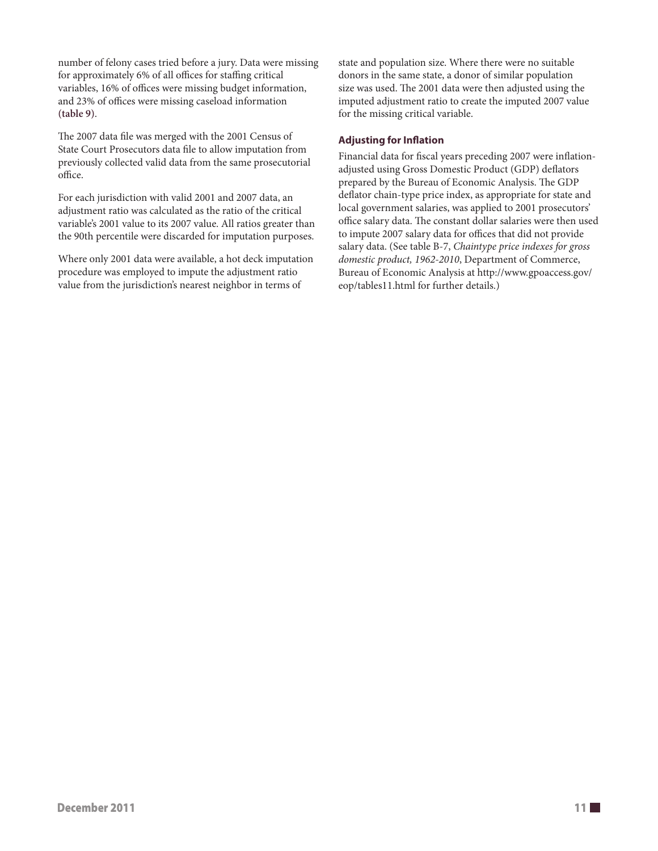number of felony cases tried before a jury. Data were missing for approximately 6% of all offices for staffing critical variables, 16% of offices were missing budget information, and 23% of offices were missing caseload information **(table 9)**.

The 2007 data file was merged with the 2001 Census of State Court Prosecutors data file to allow imputation from previously collected valid data from the same prosecutorial office.

For each jurisdiction with valid 2001 and 2007 data, an adjustment ratio was calculated as the ratio of the critical variable's 2001 value to its 2007 value. All ratios greater than the 90th percentile were discarded for imputation purposes.

Where only 2001 data were available, a hot deck imputation procedure was employed to impute the adjustment ratio value from the jurisdiction's nearest neighbor in terms of

state and population size. Where there were no suitable donors in the same state, a donor of similar population size was used. The 2001 data were then adjusted using the imputed adjustment ratio to create the imputed 2007 value for the missing critical variable.

## **Adjusting for Inflation**

Financial data for fiscal years preceding 2007 were inflationadjusted using Gross Domestic Product (GDP) deflators prepared by the Bureau of Economic Analysis. The GDP deflator chain-type price index, as appropriate for state and local government salaries, was applied to 2001 prosecutors' office salary data. The constant dollar salaries were then used to impute 2007 salary data for offices that did not provide salary data. (See table B-7, *Chaintype price indexes for gross domestic product, 1962-2010*, Department of Commerce, Bureau of Economic Analysis at http://www.gpoaccess.gov/ eop/tables11.html for further details.)